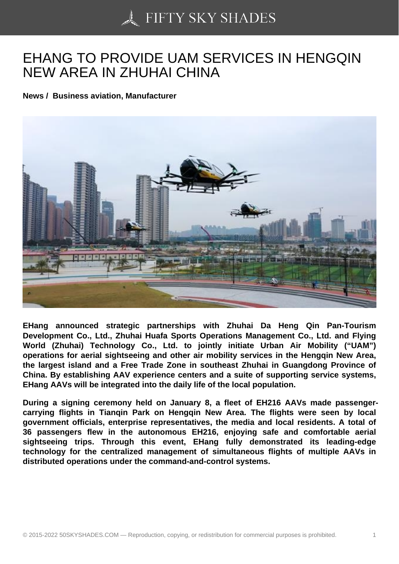## [EHANG TO PROVIDE](https://50skyshades.com) UAM SERVICES IN HENGQIN NEW AREA IN ZHUHAI CHINA

News / Business aviation, Manufacturer

EHang announced strategic partnerships with Zhuhai Da Heng Qin Pan-Tourism Development Co., Ltd., Zhuhai Huafa Sports Operations Management Co., Ltd. and Flying World (Zhuhai) Technology Co., Ltd. to jointly initiate Urban Air Mobility ("UAM") operations for aerial sightseeing and other air mobility services in the Hengqin New Area, the largest island and a Free Trade Zone in southeast Zhuhai in Guangdong Province of China. By establishing AAV experience centers and a suite of supporting service systems, EHang AAVs will be integrated into the daily life of the local population.

During a signing ceremony held on January 8, a fleet of EH216 AAVs made passengercarrying flights in Tianqin Park on Hengqin New Area. The flights were seen by local government officials, enterprise representatives, the media and local residents. A total of 36 passengers flew in the autonomous EH216, enjoying safe and comfortable aerial sightseeing trips. Through this event, EHang fully demonstrated its leading-edge technology for the centralized management of simultaneous flights of multiple AAVs in distributed operations under the command-and-control systems.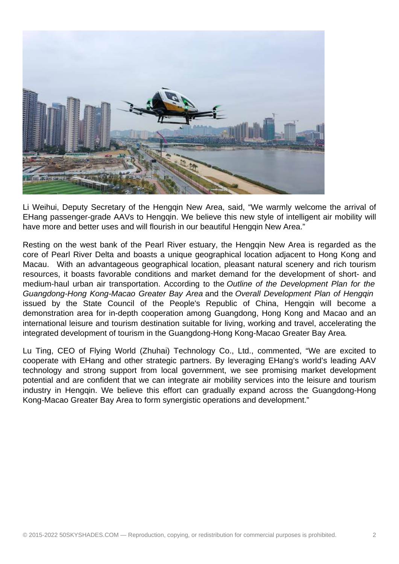

Li Weihui, Deputy Secretary of the Hengqin New Area, said, "We warmly welcome the arrival of EHang passenger-grade AAVs to Hengqin. We believe this new style of intelligent air mobility will have more and better uses and will flourish in our beautiful Hengqin New Area."

Resting on the west bank of the Pearl River estuary, the Hengqin New Area is regarded as the core of Pearl River Delta and boasts a unique geographical location adjacent to Hong Kong and Macau. With an advantageous geographical location, pleasant natural scenery and rich tourism resources, it boasts favorable conditions and market demand for the development of short- and medium-haul urban air transportation. According to the Outline of the Development Plan for the Guangdong-Hong Kong-Macao Greater Bay Area and the Overall Development Plan of Hengqin issued by the State Council of the People's Republic of China, Hengqin will become a demonstration area for in-depth cooperation among Guangdong, Hong Kong and Macao and an international leisure and tourism destination suitable for living, working and travel, accelerating the integrated development of tourism in the Guangdong-Hong Kong-Macao Greater Bay Area.

Lu Ting, CEO of Flying World (Zhuhai) Technology Co., Ltd., commented, "We are excited to cooperate with EHang and other strategic partners. By leveraging EHang's world's leading AAV technology and strong support from local government, we see promising market development potential and are confident that we can integrate air mobility services into the leisure and tourism industry in Hengqin. We believe this effort can gradually expand across the Guangdong-Hong Kong-Macao Greater Bay Area to form synergistic operations and development."